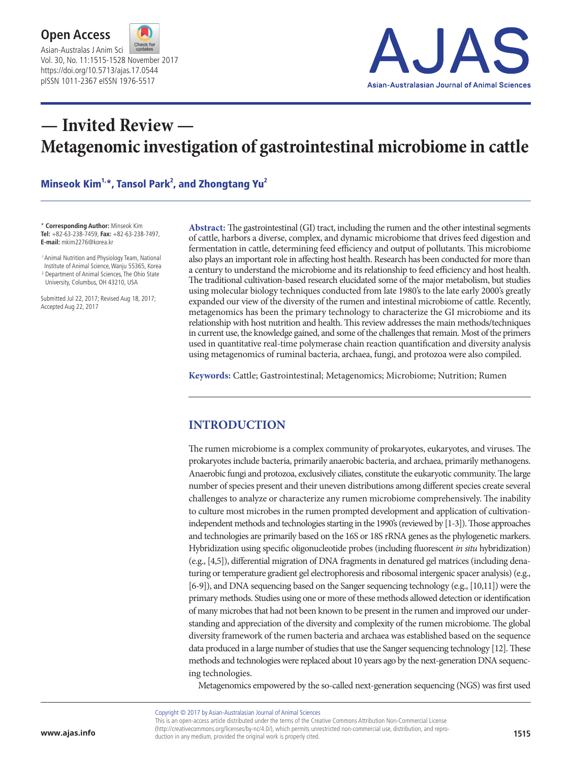



# **— Invited Review — Metagenomic investigation of gastrointestinal microbiome in cattle**

#### Minseok Kim<sup>1,\*</sup>, Tansol Park<sup>2</sup>, and Zhongtang Yu<sup>2</sup>

\* **Corresponding Author:** Minseok Kim **Tel:** +82-63-238-7459, **Fax:** +82-63-238-7497, **E-mail:** mkim2276@korea.kr

<sup>1</sup> Animal Nutrition and Physiology Team, National Institute of Animal Science, Wanju 55365, Korea <sup>2</sup> Department of Animal Sciences, The Ohio State

University, Columbus, OH 43210, USA

Submitted Jul 22, 2017; Revised Aug 18, 2017; Accepted Aug 22, 2017

**Abstract:** The gastrointestinal (GI) tract, including the rumen and the other intestinal segments of cattle, harbors a diverse, complex, and dynamic microbiome that drives feed digestion and fermentation in cattle, determining feed efficiency and output of pollutants. This microbiome also plays an important role in affecting host health. Research has been conducted for more than a century to understand the microbiome and its relationship to feed efficiency and host health. The traditional cultivation-based research elucidated some of the major metabolism, but studies using molecular biology techniques conducted from late 1980's to the late early 2000's greatly expanded our view of the diversity of the rumen and intestinal microbiome of cattle. Recently, metagenomics has been the primary technology to characterize the GI microbiome and its relationship with host nutrition and health. This review addresses the main methods/techniques in current use, the knowledge gained, and some of the challenges that remain. Most of the primers used in quantitative real-time polymerase chain reaction quantification and diversity analysis using metagenomics of ruminal bacteria, archaea, fungi, and protozoa were also compiled.

**Keywords:** Cattle; Gastrointestinal; Metagenomics; Microbiome; Nutrition; Rumen

### **INTRODUCTION**

The rumen microbiome is a complex community of prokaryotes, eukaryotes, and viruses. The prokaryotes include bacteria, primarily anaerobic bacteria, and archaea, primarily methanogens. Anaerobic fungi and protozoa, exclusively ciliates, constitute the eukaryotic community. The large number of species present and their uneven distributions among different species create several challenges to analyze or characterize any rumen microbiome comprehensively. The inability to culture most microbes in the rumen prompted development and application of cultivationindependent methods and technologies starting in the 1990's (reviewed by [1-3]). Those approaches and technologies are primarily based on the 16S or 18S rRNA genes as the phylogenetic markers. Hybridization using specific oligonucleotide probes (including fluorescent *in situ* hybridization) (e.g., [4,5]), differential migration of DNA fragments in denatured gel matrices (including denaturing or temperature gradient gel electrophoresis and ribosomal intergenic spacer analysis) (e.g., [6-9]), and DNA sequencing based on the Sanger sequencing technology (e.g., [10,11]) were the primary methods. Studies using one or more of these methods allowed detection or identification of many microbes that had not been known to be present in the rumen and improved our understanding and appreciation of the diversity and complexity of the rumen microbiome. The global diversity framework of the rumen bacteria and archaea was established based on the sequence data produced in a large number of studies that use the Sanger sequencing technology [12]. These methods and technologies were replaced about 10 years ago by the next-generation DNA sequencing technologies.

Metagenomics empowered by the so-called next-generation sequencing (NGS) was first used

Copyright © 2017 by Asian-Australasian Journal of Animal Sciences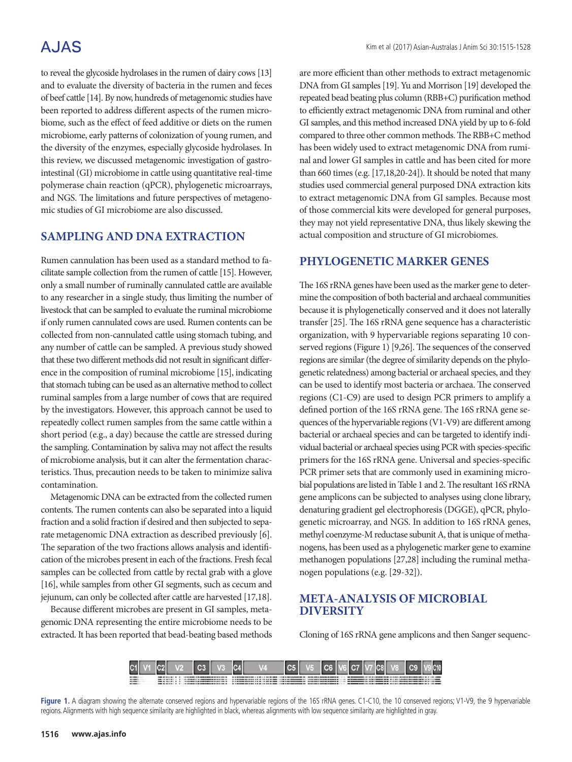to reveal the glycoside hydrolases in the rumen of dairy cows [13] and to evaluate the diversity of bacteria in the rumen and feces of beef cattle [14]. By now, hundreds of metagenomic studies have been reported to address different aspects of the rumen microbiome, such as the effect of feed additive or diets on the rumen microbiome, early patterns of colonization of young rumen, and the diversity of the enzymes, especially glycoside hydrolases. In this review, we discussed metagenomic investigation of gastrointestinal (GI) microbiome in cattle using quantitative real-time polymerase chain reaction (qPCR), phylogenetic microarrays, and NGS. The limitations and future perspectives of metagenomic studies of GI microbiome are also discussed.

### **SAMPLING AND DNA EXTRACTION**

Rumen cannulation has been used as a standard method to facilitate sample collection from the rumen of cattle [15]. However, only a small number of ruminally cannulated cattle are available to any researcher in a single study, thus limiting the number of livestock that can be sampled to evaluate the ruminal microbiome if only rumen cannulated cows are used. Rumen contents can be collected from non-cannulated cattle using stomach tubing, and any number of cattle can be sampled. A previous study showed that these two different methods did not result in significant difference in the composition of ruminal microbiome [15], indicating that stomach tubing can be used as an alternative method to collect ruminal samples from a large number of cows that are required by the investigators. However, this approach cannot be used to repeatedly collect rumen samples from the same cattle within a short period (e.g., a day) because the cattle are stressed during the sampling. Contamination by saliva may not affect the results of microbiome analysis, but it can alter the fermentation characteristics. Thus, precaution needs to be taken to minimize saliva contamination.

Metagenomic DNA can be extracted from the collected rumen contents. The rumen contents can also be separated into a liquid fraction and a solid fraction if desired and then subjected to separate metagenomic DNA extraction as described previously [6]. The separation of the two fractions allows analysis and identification of the microbes present in each of the fractions. Fresh fecal samples can be collected from cattle by rectal grab with a glove [16], while samples from other GI segments, such as cecum and jejunum, can only be collected after cattle are harvested [17,18].

Because different microbes are present in GI samples, metagenomic DNA representing the entire microbiome needs to be extracted. It has been reported that bead-beating based methods are more efficient than other methods to extract metagenomic DNA from GI samples [19]. Yu and Morrison [19] developed the repeated bead beating plus column (RBB+C) purification method to efficiently extract metagenomic DNA from ruminal and other GI samples, and this method increased DNA yield by up to 6-fold compared to three other common methods. The RBB+C method has been widely used to extract metagenomic DNA from ruminal and lower GI samples in cattle and has been cited for more than 660 times (e.g. [17,18,20-24]). It should be noted that many studies used commercial general purposed DNA extraction kits to extract metagenomic DNA from GI samples. Because most of those commercial kits were developed for general purposes, they may not yield representative DNA, thus likely skewing the actual composition and structure of GI microbiomes.

### **PHYLOGENETIC MARKER GENES**

The 16S rRNA genes have been used as the marker gene to determine the composition of both bacterial and archaeal communities because it is phylogenetically conserved and it does not laterally transfer [25]. The 16S rRNA gene sequence has a characteristic organization, with 9 hypervariable regions separating 10 conserved regions (Figure 1) [9,26]. The sequences of the conserved regions are similar (the degree of similarity depends on the phylogenetic relatedness) among bacterial or archaeal species, and they can be used to identify most bacteria or archaea. The conserved regions (C1-C9) are used to design PCR primers to amplify a defined portion of the 16S rRNA gene. The 16S rRNA gene sequences of the hypervariable regions (V1-V9) are different among bacterial or archaeal species and can be targeted to identify individual bacterial or archaeal species using PCR with species-specific primers for the 16S rRNA gene. Universal and species-specific PCR primer sets that are commonly used in examining microbial populations are listed in Table 1 and 2. The resultant 16S rRNA gene amplicons can be subjected to analyses using clone library, denaturing gradient gel electrophoresis (DGGE), qPCR, phylogenetic microarray, and NGS. In addition to 16S rRNA genes, methyl coenzyme-M reductase subunit A, that is unique of methanogens, has been used as a phylogenetic marker gene to examine methanogen populations [27,28] including the ruminal methanogen populations (e.g. [29-32]).

### **META-ANALYSIS OF MICROBIAL DIVERSITY**

Cloning of 16S rRNA gene amplicons and then Sanger sequenc-



Figure 1. A diagram showing the alternate conserved regions and hypervariable regions of the 16S rRNA genes. C1-C10, the 10 conserved regions; V1-V9, the 9 hypervariable regions. Alignments with high sequence similarity are highlighted in black, whereas alignments with low sequence similarity are highlighted in gray.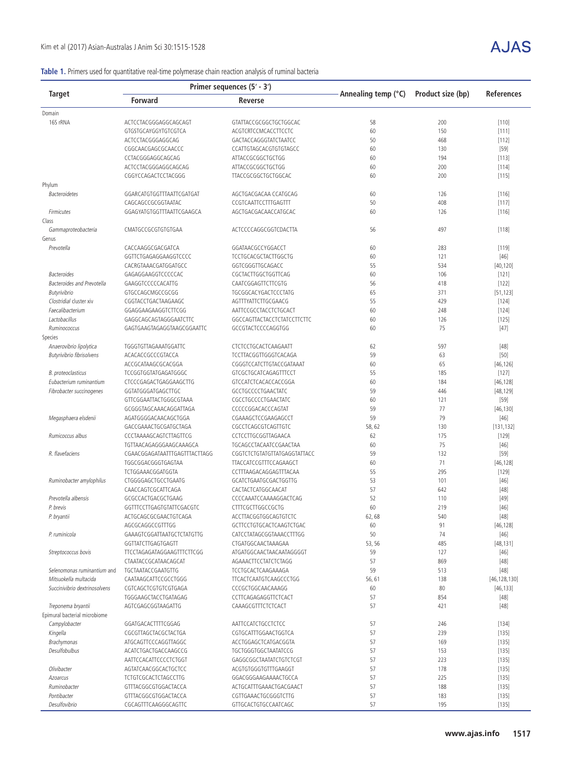### **Table 1.** Primers used for quantitative real-time polymerase chain reaction analysis of ruminal bacteria

|                                             |                                            | Primer sequences (5' - 3')                  |                     |                   |                   |  |
|---------------------------------------------|--------------------------------------------|---------------------------------------------|---------------------|-------------------|-------------------|--|
| Target                                      | <b>Forward</b><br>Reverse                  |                                             | Annealing temp (°C) | Product size (bp) | <b>References</b> |  |
| Domain                                      |                                            |                                             |                     |                   |                   |  |
| 16S rRNA                                    | ACTCCTACGGGAGGCAGCAGT                      | GTATTACCGCGGCTGCTGGCAC                      | 58                  | 200               | [110]             |  |
|                                             | GTGSTGCAYGGYTGTCGTCA                       | ACGTCRTCCMCACCTTCCTC                        | 60                  | 150               | [111]             |  |
|                                             | ACTCCTACGGGAGGCAG                          | GACTACCAGGGTATCTAATCC                       | 50                  | 468               | [112]             |  |
|                                             | CGGCAACGAGCGCAACCC                         | CCATTGTAGCACGTGTGTAGCC                      | 60                  | 130               | $[59]$            |  |
|                                             | CCTACGGGAGGCAGCAG                          | ATTACCGCGGCTGCTGG                           | 60                  | 194               | [113]             |  |
|                                             | ACTCCTACGGGAGGCAGCAG                       | ATTACCGCGGCTGCTGG                           | 60                  | 200               | [114]             |  |
|                                             | CGGYCCAGACTCCTACGGG                        | TTACCGCGGCTGCTGGCAC                         | 60                  | 200               | [115]             |  |
| Phylum                                      |                                            |                                             |                     |                   |                   |  |
| <b>Bacteroidetes</b>                        | GGARCATGTGGTTTAATTCGATGAT                  | AGCTGACGACAA CCATGCAG                       | 60                  | 126               | [116]             |  |
|                                             | CAGCAGCCGCGGTAATAC                         | CCGTCAATTCCTTTGAGTTT                        | 50                  | 408               | [117]             |  |
| Firmicutes                                  | GGAGYATGTGGTTTAATTCGAAGCA                  | AGCTGACGACAACCATGCAC                        | 60                  | 126               | [116]             |  |
| Class                                       |                                            |                                             |                     |                   |                   |  |
| Gammaproteobacteria                         | CMATGCCGCGTGTGTGAA                         | ACTCCCCAGGCGGTCDACTTA                       | 56                  | 497               | [118]             |  |
| Genus                                       |                                            |                                             |                     |                   |                   |  |
| Prevotella                                  | CACCAAGGCGACGATCA                          | GGATAACGCCYGGACCT                           | 60                  | 283               | [119]             |  |
|                                             | GGTTCTGAGAGGAAGGTCCCC                      | TCCTGCACGCTACTTGGCTG                        | 60                  | 121               | $[46]$            |  |
|                                             | CACRGTAAACGATGGATGCC                       | GGTCGGGTTGCAGACC                            | 55                  | 534               | [40, 120]         |  |
| <b>Bacteroides</b>                          | GAGAGGAAGGTCCCCCAC                         | CGCTACTTGGCTGGTTCAG                         | 60                  | 106               | [121]             |  |
| <b>Bacteroides and Prevotella</b>           | GAAGGTCCCCCACATTG                          | CAATCGGAGTTCTTCGTG                          | 56                  | 418               | $[122]$           |  |
| Butyrivibrio                                | GTGCCAGCMGCCGCGG                           | TGCGGCACYGACTCCCTATG<br>AGTTTYATTCTTGCGAACG | 65<br>55            | 371<br>429        | [51, 123]         |  |
| Clostridial cluster xiv<br>Faecalibacterium | CGGTACCTGACTAAGAAGC<br>GGAGGAAGAAGGTCTTCGG | AATTCCGCCTACCTCTGCACT                       | 60                  | 248               | $[124]$           |  |
| Lactobacillus                               | GAGGCAGCAGTAGGGAATCTTC                     | GGCCAGTTACTACCTCTATCCTTCTTC                 | 60                  | 126               | [124]             |  |
| Ruminococcus                                | GAGTGAAGTAGAGGTAAGCGGAATTC                 | GCCGTACTCCCCAGGTGG                          | 60                  | 75                | [125]<br>$[47]$   |  |
| Species                                     |                                            |                                             |                     |                   |                   |  |
| Anaerovibrio lipolytica                     | TGGGTGTTAGAAATGGATTC                       | CTCTCCTGCACTCAAGAATT                        | 62                  | 597               | $[48]$            |  |
| Butyrivibrio fibrisolvens                   | ACACACCGCCCGTACCA                          | TCCTTACGGTTGGGTCACAGA                       | 59                  | 63                | $[50]$            |  |
|                                             | ACCGCATAAGCGCACGGA                         | CGGGTCCATCTTGTACCGATAAAT                    | 60                  | 65                | [46, 126]         |  |
| B. proteoclasticus                          | TCCGGTGGTATGAGATGGGC                       | GTCGCTGCATCAGAGTTTCCT                       | 55                  | 185               | [127]             |  |
| Eubacterium ruminantium                     | CTCCCGAGACTGAGGAAGCTTG                     | GTCCATCTCACACCACCGGA                        | 60                  | 184               | [46, 128]         |  |
| Fibrobacter succinogenes                    | GGTATGGGATGAGCTTGC                         | GCCTGCCCCTGAACTATC                          | 59                  | 446               | [48, 129]         |  |
|                                             | GTTCGGAATTACTGGGCGTAAA                     | CGCCTGCCCCTGAACTATC                         | 60                  | 121               | $[59]$            |  |
|                                             | GCGGGTAGCAAACAGGATTAGA                     | CCCCCGGACACCCAGTAT                          | 59                  | 77                | [46, 130]         |  |
| Megasphaera elsdenii                        | AGATGGGGACAACAGCTGGA                       | CGAAAGCTCCGAAGAGCCT                         | 59                  | 79                | $[46]$            |  |
|                                             | GACCGAAACTGCGATGCTAGA                      | CGCCTCAGCGTCAGTTGTC                         | 58,62               | 130               | [131, 132]        |  |
| Rumicoccus albus                            | CCCTAAAAGCAGTCTTAGTTCG                     | CCTCCTTGCGGTTAGAACA                         | 62                  | 175               | [129]             |  |
|                                             | TGTTAACAGAGGGAAGCAAAGCA                    | TGCAGCCTACAATCCGAACTAA                      | 60                  | 75                | $[46]$            |  |
| R. flavefaciens                             | CGAACGGAGATAATTTGAGTTTACTTAGG              | CGGTCTCTGTATGTTATGAGGTATTACC                | 59                  | 132               | $[59]$            |  |
|                                             | TGGCGGACGGGTGAGTAA                         | TTACCATCCGTTTCCAGAAGCT                      | 60                  | 71                | [46, 128]         |  |
|                                             | TCTGGAAACGGATGGTA                          | CCTTTAAGACAGGAGTTTACAA                      | 55                  | 295               | [129]             |  |
| Ruminobacter amylophilus                    | CTGGGGAGCTGCCTGAATG                        | GCATCTGAATGCGACTGGTTG                       | 53                  | 101               | $[46]$            |  |
|                                             | CAACCAGTCGCATTCAGA                         | CACTACTCATGGCAACAT                          | 57                  | 642               | $[48]$            |  |
| Prevotella albensis                         | GCGCCACTGACGCTGAAG                         | CCCCAAATCCAAAAGGACTCAG                      | 52                  | 110               | $[49]$            |  |
| P. brevis                                   | GGTTTCCTTGAGTGTATTCGACGTC                  | <b>CTTTCGCTTGGCCGCTG</b>                    | 60                  | 219               | $[46]$            |  |
| P. bryantii                                 | ACTGCAGCGCGAACTGTCAGA                      | ACCTTACGGTGGCAGTGTCTC                       | 62,68               | 540               | $[48]$            |  |
|                                             | AGCGCAGGCCGTTTGG                           | GCTTCCTGTGCACTCAAGTCTGAC                    | 60                  | 91                | [46, 128]         |  |
| P. ruminicola                               | GAAAGTCGGATTAATGCTCTATGTTG                 | CATCCTATAGCGGTAAACCTTTGG                    | 50                  | 74                | $[46]$            |  |
|                                             | GGTTATCTTGAGTGAGTT                         | CTGATGGCAACTAAAGAA                          | 53, 56              | 485               | [48, 131]         |  |
| Streptococcus bovis                         | TTCCTAGAGATAGGAAGTTTCTTCGG                 | ATGATGGCAACTAACAATAGGGGT                    | 59                  | 127               | $[46]$            |  |
|                                             | CTAATACCGCATAACAGCAT                       | AGAAACTTCCTATCTCTAGG                        | 57                  | 869               | $[48]$            |  |
| Selenomonas ruminantium and                 | TGCTAATACCGAATGTTG                         | TCCTGCACTCAAGAAAGA                          | 59                  | 513               | $[48]$            |  |
| Mitsuokella multacida                       | CAATAAGCATTCCGCCTGGG                       | TTCACTCAATGTCAAGCCCTGG                      | 56,61               | 138               | [46, 128, 130]    |  |
| Succinivibrio dextrinosolvens               | CGTCAGCTCGTGTCGTGAGA                       | CCCGCTGGCAACAAAGG                           | 60                  | 80                | [46, 133]         |  |
|                                             | TGGGAAGCTACCTGATAGAG                       | CCTTCAGAGAGGTTCTCACT                        | 57                  | 854               | $[48]$            |  |
| Treponema bryantii                          | AGTCGAGCGGTAAGATTG                         | CAAAGCGTTTCTCTCACT                          | 57                  | 421               | $[48]$            |  |
| Epimural bacterial microbiome               |                                            |                                             |                     |                   |                   |  |
| Campylobacter                               | GGATGACACTTTTCGGAG                         | AATTCCATCTGCCTCTCC                          | 57                  | 246               | $[134]$           |  |
| Kingella                                    | CGCGTTAGCTACGCTACTGA                       | CGTGCATTTGGAACTGGTCA                        | 57                  | 239               | [135]             |  |
| Brachymonas                                 | ATGCAGTTCCCAGGTTAGGC                       | ACCTGGAGCTCATGACGGTA                        | 57                  | 169               | [135]             |  |
| Desulfobulbus                               | ACATCTGACTGACCAAGCCG                       | TGCTGGGTGGCTAATATCCG                        | 57                  | 153               | [135]             |  |
|                                             | AATTCCACATTCCCCTCTGGT                      | GAGGCGGCTAATATCTGTCTCGT                     | 57                  | 223               | $[135]$           |  |
| Olivibacter                                 | AGTATCAACGGCACTGCTCC                       | ACGTGTGGGTGTTTGAAGGT                        | 57                  | 178               | $[135]$           |  |
| Azoarcus                                    | TCTGTCGCACTCTAGCCTTG                       | GGACGGGAAGAAAACTGCCA                        | 57                  | 225               | [135]             |  |
| Ruminobacter                                | GTTTACGGCGTGGACTACCA                       | ACTGCATTTGAAACTGACGAACT                     | 57                  | 188               | [135]             |  |
| Pontibacter                                 | GTTTACGGCGTGGACTACCA                       | CGTTGAAACTGCGGGTCTTG                        | 57                  | 183               | [135]             |  |
| Desulfovibrio                               | CGCAGTTTCAAGGGCAGTTC                       | GTTGCACTGTGCCAATCAGC                        | 57                  | 195               | $[135]$           |  |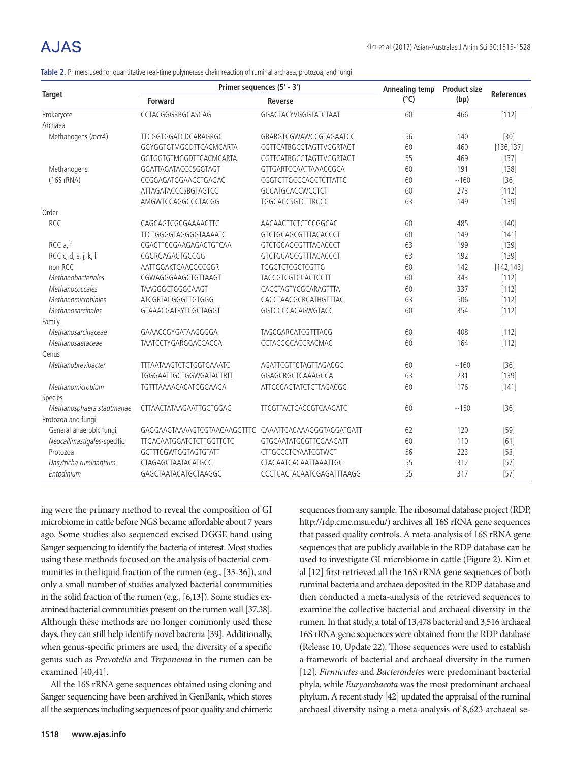# A.IAS

|  | Table 2. Primers used for quantitative real-time polymerase chain reaction of ruminal archaea, protozoa, and fungi |  |  |  |  |
|--|--------------------------------------------------------------------------------------------------------------------|--|--|--|--|
|  |                                                                                                                    |  |  |  |  |

|                             | Primer sequences (5' - 3')                             | Annealing temp            | <b>Product size</b> | <b>References</b> |            |
|-----------------------------|--------------------------------------------------------|---------------------------|---------------------|-------------------|------------|
| <b>Target</b>               | <b>Forward</b><br><b>Reverse</b>                       |                           | $(^{\circ}C)$       |                   | (bp)       |
| Prokaryote                  | CCTACGGGRBGCASCAG                                      | GGACTACYVGGGTATCTAAT      | 60                  | 466               | [112]      |
| Archaea                     |                                                        |                           |                     |                   |            |
| Methanogens (mcrA)          | TTCGGTGGATCDCARAGRGC                                   | GBARGTCGWAWCCGTAGAATCC    | 56                  | 140               | $[30]$     |
|                             | GGYGGTGTMGGDTTCACMCARTA                                | CGTTCATBGCGTAGTTVGGRTAGT  | 60                  | 460               | [136, 137] |
|                             | GGTGGTGTMGGDTTCACMCARTA                                | CGTTCATBGCGTAGTTVGGRTAGT  | 55                  | 469               | [137]      |
| Methanogens                 | GGATTAGATACCCSGGTAGT                                   | GTTGARTCCAATTAAACCGCA     | 60                  | 191               | [138]      |
| (16S rRNA)                  | CCGGAGATGGAACCTGAGAC                                   | CGGTCTTGCCCAGCTCTTATTC    | 60                  | ~160              | $[36]$     |
|                             | ATTAGATACCCSBGTAGTCC                                   | GCCATGCACCWCCTCT          | 60                  | 273               | $[112]$    |
|                             | AMGWTCCAGGCCCTACGG                                     | TGGCACCSGTCTTRCCC         | 63                  | 149               | $[139]$    |
| Order                       |                                                        |                           |                     |                   |            |
| <b>RCC</b>                  | CAGCAGTCGCGAAAACTTC                                    | AACAACTTCTCTCCGGCAC       | 60                  | 485               | $[140]$    |
|                             | TTCTGGGGTAGGGGTAAAATC                                  | GTCTGCAGCGTTTACACCCT      | 60                  | 149               | $[141]$    |
| RCC a, f                    | CGACTTCCGAAGAGACTGTCAA                                 | GTCTGCAGCGTTTACACCCT      | 63                  | 199               | $[139]$    |
| RCC c, d, e, j, k, l        | CGGRGAGACTGCCGG                                        | GTCTGCAGCGTTTACACCCT      | 63                  | 192               | $[139]$    |
| non RCC                     | AATTGGAKTCAACGCCGGR                                    | TGGGTCTCGCTCGTTG          | 60                  | 142               | [142, 143] |
| Methanobacteriales          | CGWAGGGAAGCTGTTAAGT                                    | TACCGTCGTCCACTCCTT        | 60                  | 343               | $[112]$    |
| Methanococcales             | TAAGGGCTGGGCAAGT                                       | CACCTAGTYCGCARAGTTTA      | 60                  | 337               | $[112]$    |
| Methanomicrobiales          | ATCGRTACGGGTTGTGGG                                     | CACCTAACGCRCATHGTTTAC     | 63                  | 506               | $[112]$    |
| Methanosarcinales           | GTAAACGATRYTCGCTAGGT                                   | GGTCCCCACAGWGTACC         | 60                  | 354               | [112]      |
| Family                      |                                                        |                           |                     |                   |            |
| Methanosarcinaceae          | GAAACCGYGATAAGGGGA                                     | TAGCGARCATCGTTTACG        | 60                  | 408               | [112]      |
| Methanosaetaceae            | TAATCCTYGARGGACCACCA                                   | CCTACGGCACCRACMAC         | 60                  | 164               | [112]      |
| Genus                       |                                                        |                           |                     |                   |            |
| Methanobrevibacter          | TTTAATAAGTCTCTGGTGAAATC                                | AGATTCGTTCTAGTTAGACGC     | 60                  | ~160              | $[36]$     |
|                             | TGGGAATTGCTGGWGATACTRTT                                | GGAGCRGCTCAAAGCCA         | 63                  | 231               | $[139]$    |
| Methanomicrobium            | TGTTTAAAACACATGGGAAGA                                  | ATTCCCAGTATCTCTTAGACGC    | 60                  | 176               | $[141]$    |
| Species                     |                                                        |                           |                     |                   |            |
| Methanosphaera stadtmanae   | CTTAACTATAAGAATTGCTGGAG                                | TTCGTTACTCACCGTCAAGATC    | 60                  | ~150              | $[36]$     |
| Protozoa and fungi          |                                                        |                           |                     |                   |            |
| General anaerobic fungi     | GAGGAAGTAAAAGTCGTAACAAGGTTTC CAAATTCACAAAGGGTAGGATGATT |                           | 62                  | 120               | $[59]$     |
| Neocallimastigales-specific | TTGACAATGGATCTCTTGGTTCTC                               | GTGCAATATGCGTTCGAAGATT    | 60                  | 110               | [61]       |
| Protozoa                    | GCTTTCGWTGGTAGTGTATT                                   | CTTGCCCTCYAATCGTWCT       | 56                  | 223               | $[53]$     |
| Dasytricha ruminantium      | CTAGAGCTAATACATGCC                                     | CTACAATCACAATTAAATTGC     | 55                  | 312               | $[57]$     |
| Entodinium                  | GAGCTAATACATGCTAAGGC                                   | CCCTCACTACAATCGAGATTTAAGG | 55                  | 317               | $[57]$     |

ing were the primary method to reveal the composition of GI microbiome in cattle before NGS became affordable about 7 years ago. Some studies also sequenced excised DGGE band using Sanger sequencing to identify the bacteria of interest. Most studies using these methods focused on the analysis of bacterial communities in the liquid fraction of the rumen (e.g., [33-36]), and only a small number of studies analyzed bacterial communities in the solid fraction of the rumen (e.g., [6,13]). Some studies examined bacterial communities present on the rumen wall [37,38]. Although these methods are no longer commonly used these days, they can still help identify novel bacteria [39]. Additionally, when genus-specific primers are used, the diversity of a specific genus such as *Prevotella* and *Treponema* in the rumen can be examined [40,41].

All the 16S rRNA gene sequences obtained using cloning and Sanger sequencing have been archived in GenBank, which stores all the sequences including sequences of poor quality and chimeric

sequences from any sample. The ribosomal database project (RDP, http://rdp.cme.msu.edu/) archives all 16S rRNA gene sequences that passed quality controls. A meta-analysis of 16S rRNA gene sequences that are publicly available in the RDP database can be used to investigate GI microbiome in cattle (Figure 2). Kim et al [12] first retrieved all the 16S rRNA gene sequences of both ruminal bacteria and archaea deposited in the RDP database and then conducted a meta-analysis of the retrieved sequences to examine the collective bacterial and archaeal diversity in the rumen. In that study, a total of 13,478 bacterial and 3,516 archaeal 16S rRNA gene sequences were obtained from the RDP database (Release 10, Update 22). Those sequences were used to establish a framework of bacterial and archaeal diversity in the rumen [12]. *Firmicutes* and *Bacteroidetes* were predominant bacterial phyla, while *Euryarchaeota* was the most predominant archaeal phylum. A recent study [42] updated the appraisal of the ruminal archaeal diversity using a meta-analysis of 8,623 archaeal se-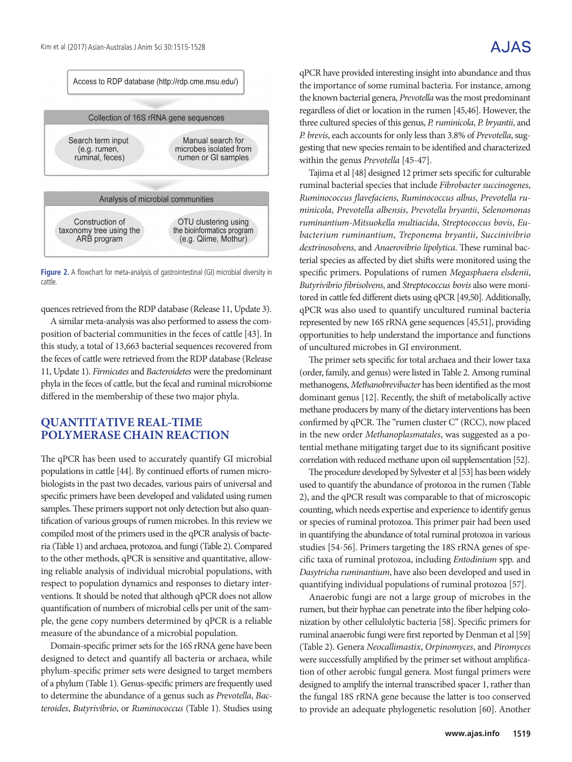### A.JAS



**Figure 2.** A flowchart for meta-analysis of gastrointestinal (GI) microbial diversity in cattle.

quences retrieved from the RDP database (Release 11, Update 3).

A similar meta-analysis was also performed to assess the composition of bacterial communities in the feces of cattle [43]. In this study, a total of 13,663 bacterial sequences recovered from the feces of cattle were retrieved from the RDP database (Release 11, Update 1). *Firmicutes* and *Bacteroidetes* were the predominant phyla in the feces of cattle, but the fecal and ruminal microbiome differed in the membership of these two major phyla.

#### **QUANTITATIVE REAL-TIME POLYMERASE CHAIN REACTION**

The qPCR has been used to accurately quantify GI microbial populations in cattle [44]. By continued efforts of rumen microbiologists in the past two decades, various pairs of universal and specific primers have been developed and validated using rumen samples. These primers support not only detection but also quantification of various groups of rumen microbes. In this review we compiled most of the primers used in the qPCR analysis of bacteria (Table 1) and archaea, protozoa, and fungi (Table 2). Compared to the other methods, qPCR is sensitive and quantitative, allowing reliable analysis of individual microbial populations, with respect to population dynamics and responses to dietary interventions. It should be noted that although qPCR does not allow quantification of numbers of microbial cells per unit of the sample, the gene copy numbers determined by qPCR is a reliable measure of the abundance of a microbial population.

Domain-specific primer sets for the 16S rRNA gene have been designed to detect and quantify all bacteria or archaea, while phylum-specific primer sets were designed to target members of a phylum (Table 1). Genus-specific primers are frequently used to determine the abundance of a genus such as *Prevotella*, *Bacteroides*, *Butyrivibrio*, or *Ruminococcus* (Table 1). Studies using

qPCR have provided interesting insight into abundance and thus the importance of some ruminal bacteria. For instance, among the known bacterial genera, *Prevotella* was the most predominant regardless of diet or location in the rumen [45,46]. However, the three cultured species of this genus, *P. ruminicola*, *P. bryantii*, and *P. brevis*, each accounts for only less than 3.8% of *Prevotella*, suggesting that new species remain to be identified and characterized within the genus *Prevotella* [45-47].

Tajima et al [48] designed 12 primer sets specific for culturable ruminal bacterial species that include *Fibrobacter succinogenes*, *Ruminococcus flavefaciens*, *Ruminococcus albus*, *Prevotella ruminicola*, *Prevotella albensis*, *Prevotella bryantii*, *Selenomonas ruminantium-Mitsuokella multiacida*, *Streptococcus bovis*, *Eubacterium ruminantium*, *Treponema bryantii*, *Succinivibrio dextrinosolvens*, and *Anaerovibrio lipolytica*. These ruminal bacterial species as affected by diet shifts were monitored using the specific primers. Populations of rumen *Megasphaera elsdenii*, *Butyrivibrio fibrisolvens*, and *Streptococcus bovis* also were monitored in cattle fed different diets using qPCR [49,50]. Additionally, qPCR was also used to quantify uncultured ruminal bacteria represented by new 16S rRNA gene sequences [45,51], providing opportunities to help understand the importance and functions of uncultured microbes in GI environment.

The primer sets specific for total archaea and their lower taxa (order, family, and genus) were listed in Table 2. Among ruminal methanogens, *Methanobrevibacter* has been identified as the most dominant genus [12]. Recently, the shift of metabolically active methane producers by many of the dietary interventions has been confirmed by qPCR. The "rumen cluster C" (RCC), now placed in the new order *Methanoplasmatales*, was suggested as a potential methane mitigating target due to its significant positive correlation with reduced methane upon oil supplementation [52].

The procedure developed by Sylvester et al [53] has been widely used to quantify the abundance of protozoa in the rumen (Table 2), and the qPCR result was comparable to that of microscopic counting, which needs expertise and experience to identify genus or species of ruminal protozoa. This primer pair had been used in quantifying the abundance of total ruminal protozoa in various studies [54-56]. Primers targeting the 18S rRNA genes of specific taxa of ruminal protozoa, including *Entodinium* spp. and *Dasytricha ruminantium*, have also been developed and used in quantifying individual populations of ruminal protozoa [57].

Anaerobic fungi are not a large group of microbes in the rumen, but their hyphae can penetrate into the fiber helping colonization by other cellulolytic bacteria [58]. Specific primers for ruminal anaerobic fungi were first reported by Denman et al [59] (Table 2). Genera *Neocallimastix*, *Orpinomyces*, and *Piromyces*  were successfully amplified by the primer set without amplification of other aerobic fungal genera. Most fungal primers were designed to amplify the internal transcribed spacer 1, rather than the fungal 18S rRNA gene because the latter is too conserved to provide an adequate phylogenetic resolution [60]. Another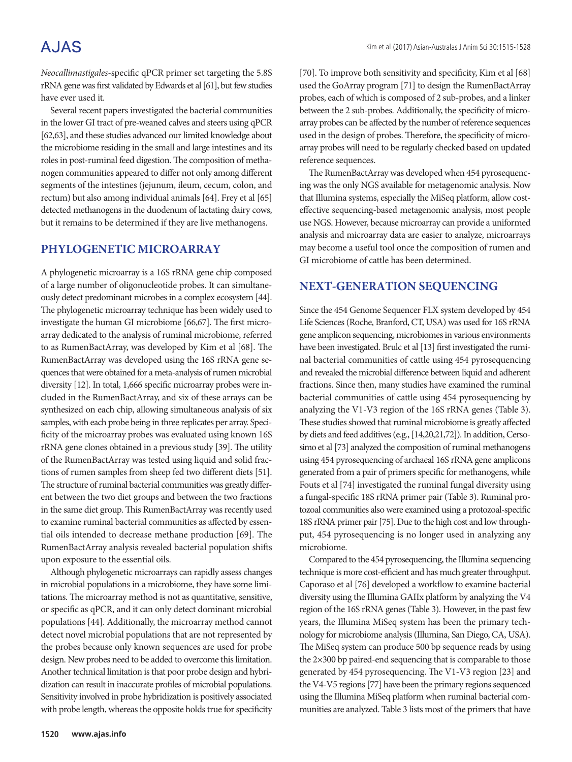*Neocallimastigales*-specific qPCR primer set targeting the 5.8S rRNA gene was first validated by Edwards et al [61], but few studies have ever used it.

Several recent papers investigated the bacterial communities in the lower GI tract of pre-weaned calves and steers using qPCR [62,63], and these studies advanced our limited knowledge about the microbiome residing in the small and large intestines and its roles in post-ruminal feed digestion. The composition of methanogen communities appeared to differ not only among different segments of the intestines (jejunum, ileum, cecum, colon, and rectum) but also among individual animals [64]. Frey et al [65] detected methanogens in the duodenum of lactating dairy cows, but it remains to be determined if they are live methanogens.

### **PHYLOGENETIC MICROARRAY**

A phylogenetic microarray is a 16S rRNA gene chip composed of a large number of oligonucleotide probes. It can simultaneously detect predominant microbes in a complex ecosystem [44]. The phylogenetic microarray technique has been widely used to investigate the human GI microbiome [66,67]. The first microarray dedicated to the analysis of ruminal microbiome, referred to as RumenBactArray, was developed by Kim et al [68]. The RumenBactArray was developed using the 16S rRNA gene sequences that were obtained for a meta-analysis of rumen microbial diversity [12]. In total, 1,666 specific microarray probes were included in the RumenBactArray, and six of these arrays can be synthesized on each chip, allowing simultaneous analysis of six samples, with each probe being in three replicates per array. Specificity of the microarray probes was evaluated using known 16S rRNA gene clones obtained in a previous study [39]. The utility of the RumenBactArray was tested using liquid and solid fractions of rumen samples from sheep fed two different diets [51]. The structure of ruminal bacterial communities was greatly different between the two diet groups and between the two fractions in the same diet group. This RumenBactArray was recently used to examine ruminal bacterial communities as affected by essential oils intended to decrease methane production [69]. The RumenBactArray analysis revealed bacterial population shifts upon exposure to the essential oils.

Although phylogenetic microarrays can rapidly assess changes in microbial populations in a microbiome, they have some limitations. The microarray method is not as quantitative, sensitive, or specific as qPCR, and it can only detect dominant microbial populations [44]. Additionally, the microarray method cannot detect novel microbial populations that are not represented by the probes because only known sequences are used for probe design. New probes need to be added to overcome this limitation. Another technical limitation is that poor probe design and hybridization can result in inaccurate profiles of microbial populations. Sensitivity involved in probe hybridization is positively associated with probe length, whereas the opposite holds true for specificity

[70]. To improve both sensitivity and specificity, Kim et al [68] used the GoArray program [71] to design the RumenBactArray probes, each of which is composed of 2 sub-probes, and a linker between the 2 sub-probes. Additionally, the specificity of microarray probes can be affected by the number of reference sequences used in the design of probes. Therefore, the specificity of microarray probes will need to be regularly checked based on updated reference sequences.

The RumenBactArray was developed when 454 pyrosequencing was the only NGS available for metagenomic analysis. Now that Illumina systems, especially the MiSeq platform, allow costeffective sequencing-based metagenomic analysis, most people use NGS. However, because microarray can provide a uniformed analysis and microarray data are easier to analyze, microarrays may become a useful tool once the composition of rumen and GI microbiome of cattle has been determined.

#### **NEXT-GENERATION SEQUENCING**

Since the 454 Genome Sequencer FLX system developed by 454 Life Sciences (Roche, Branford, CT, USA) was used for 16S rRNA gene amplicon sequencing, microbiomes in various environments have been investigated. Brulc et al [13] first investigated the ruminal bacterial communities of cattle using 454 pyrosequencing and revealed the microbial difference between liquid and adherent fractions. Since then, many studies have examined the ruminal bacterial communities of cattle using 454 pyrosequencing by analyzing the V1-V3 region of the 16S rRNA genes (Table 3). These studies showed that ruminal microbiome is greatly affected by diets and feed additives (e.g., [14,20,21,72]). In addition, Cersosimo et al [73] analyzed the composition of ruminal methanogens using 454 pyrosequencing of archaeal 16S rRNA gene amplicons generated from a pair of primers specific for methanogens, while Fouts et al [74] investigated the ruminal fungal diversity using a fungal-specific 18S rRNA primer pair (Table 3). Ruminal protozoal communities also were examined using a protozoal-specific 18S rRNA primer pair [75]. Due to the high cost and low throughput, 454 pyrosequencing is no longer used in analyzing any microbiome.

Compared to the 454 pyrosequencing, the Illumina sequencing technique is more cost-efficient and has much greater throughput. Caporaso et al [76] developed a workflow to examine bacterial diversity using the Illumina GAIIx platform by analyzing the V4 region of the 16S rRNA genes (Table 3). However, in the past few years, the Illumina MiSeq system has been the primary technology for microbiome analysis (Illumina, San Diego, CA, USA). The MiSeq system can produce 500 bp sequence reads by using the 2×300 bp paired-end sequencing that is comparable to those generated by 454 pyrosequencing. The V1-V3 region [23] and the V4-V5 regions [77] have been the primary regions sequenced using the Illumina MiSeq platform when ruminal bacterial communities are analyzed. Table 3 lists most of the primers that have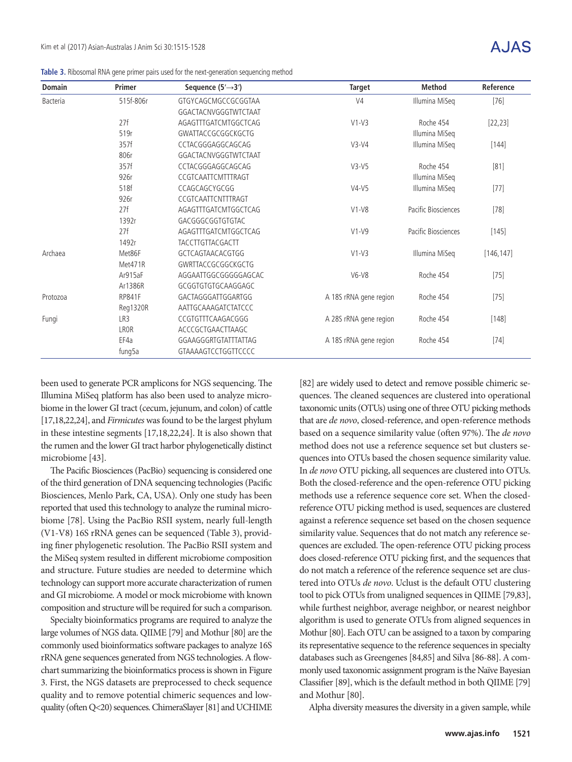**Table 3.** Ribosomal RNA gene primer pairs used for the next-generation sequencing method

| <b>Domain</b> | <b>Primer</b> | Sequence $(5' \rightarrow 3')$ | Target                 | <b>Method</b>       | Reference  |
|---------------|---------------|--------------------------------|------------------------|---------------------|------------|
| Bacteria      | 515f-806r     | GTGYCAGCMGCCGCGGTAA            | V <sub>4</sub>         | Illumina MiSeq      | $[76]$     |
|               |               | GGACTACNVGGGTWTCTAAT           |                        |                     |            |
|               | 27f           | AGAGTTTGATCMTGGCTCAG           | $V1-V3$                | Roche 454           | [22, 23]   |
|               | 519r          | GWATTACCGCGGCKGCTG             |                        | Illumina MiSeq      |            |
|               | 357f          | CCTACGGGAGGCAGCAG              | $V3-V4$                | Illumina MiSeq      | $[144]$    |
|               | 806r          | GGACTACNVGGGTWTCTAAT           |                        |                     |            |
|               | 357f          | CCTACGGGAGGCAGCAG              | $V3-V5$                | Roche 454           | [81]       |
|               | 926r          | CCGTCAATTCMTTTRAGT             |                        | Illumina MiSeq      |            |
|               | 518f          | CCAGCAGCYGCGG                  | $V4-V5$                | Illumina MiSeq      | $[77]$     |
|               | 926r          | CCGTCAATTCNTTTRAGT             |                        |                     |            |
|               | 27f           | AGAGTTTGATCMTGGCTCAG           | $V1-V8$                | Pacific Biosciences | $[78]$     |
|               | 1392r         | GACGGGCGGTGTGTAC               |                        |                     |            |
|               | 27f           | AGAGTTTGATCMTGGCTCAG           | $V1-V9$                | Pacific Biosciences | $[145]$    |
|               | 1492r         | TACCTTGTTACGACTT               |                        |                     |            |
| Archaea       | Met86F        | GCTCAGTAACACGTGG               | $V1-V3$                | Illumina MiSeq      | [146, 147] |
|               | Met471R       | GWRTTACCGCGGCKGCTG             |                        |                     |            |
|               | Ar915aF       | AGGAATTGGCGGGGGAGCAC           | $V6-V8$                | Roche 454           | $[75]$     |
|               | Ar1386R       | GCGGTGTGTGCAAGGAGC             |                        |                     |            |
| Protozoa      | <b>RP841F</b> | GACTAGGGATTGGARTGG             | A 18S rRNA gene region | Roche 454           | $[75]$     |
|               | Reg1320R      | AATTGCAAAGATCTATCCC            |                        |                     |            |
| Fungi         | LR3           | CCGTGTTTCAAGACGGG              | A 28S rRNA gene region | Roche 454           | [148]      |
|               | LROR          | ACCCGCTGAACTTAAGC              |                        |                     |            |
|               | EF4a          | GGAAGGGRTGTATTTATTAG           | A 18S rRNA gene region | Roche 454           | $[74]$     |
|               | fung5a        | GTAAAAGTCCTGGTTCCCC            |                        |                     |            |

been used to generate PCR amplicons for NGS sequencing. The Illumina MiSeq platform has also been used to analyze microbiome in the lower GI tract (cecum, jejunum, and colon) of cattle [17,18,22,24], and *Firmicutes* was found to be the largest phylum in these intestine segments [17,18,22,24]. It is also shown that the rumen and the lower GI tract harbor phylogenetically distinct microbiome [43].

The Pacific Biosciences (PacBio) sequencing is considered one of the third generation of DNA sequencing technologies (Pacific Biosciences, Menlo Park, CA, USA). Only one study has been reported that used this technology to analyze the ruminal microbiome [78]. Using the PacBio RSII system, nearly full-length (V1-V8) 16S rRNA genes can be sequenced (Table 3), providing finer phylogenetic resolution. The PacBio RSII system and the MiSeq system resulted in different microbiome composition and structure. Future studies are needed to determine which technology can support more accurate characterization of rumen and GI microbiome. A model or mock microbiome with known composition and structure will be required for such a comparison.

Specialty bioinformatics programs are required to analyze the large volumes of NGS data. QIIME [79] and Mothur [80] are the commonly used bioinformatics software packages to analyze 16S rRNA gene sequences generated from NGS technologies. A flowchart summarizing the bioinformatics process is shown in Figure 3. First, the NGS datasets are preprocessed to check sequence quality and to remove potential chimeric sequences and lowquality (often Q<20) sequences. ChimeraSlayer [81] and UCHIME

[82] are widely used to detect and remove possible chimeric sequences. The cleaned sequences are clustered into operational taxonomic units (OTUs) using one of three OTU picking methods that are *de novo*, closed-reference, and open-reference methods based on a sequence similarity value (often 97%). The *de novo* method does not use a reference sequence set but clusters sequences into OTUs based the chosen sequence similarity value. In *de novo* OTU picking, all sequences are clustered into OTUs. Both the closed-reference and the open-reference OTU picking methods use a reference sequence core set. When the closedreference OTU picking method is used, sequences are clustered against a reference sequence set based on the chosen sequence similarity value. Sequences that do not match any reference sequences are excluded. The open-reference OTU picking process does closed-reference OTU picking first, and the sequences that do not match a reference of the reference sequence set are clustered into OTUs *de novo*. Uclust is the default OTU clustering tool to pick OTUs from unaligned sequences in QIIME [79,83], while furthest neighbor, average neighbor, or nearest neighbor algorithm is used to generate OTUs from aligned sequences in Mothur [80]. Each OTU can be assigned to a taxon by comparing its representative sequence to the reference sequences in specialty databases such as Greengenes [84,85] and Silva [86-88]. A commonly used taxonomic assignment program is the Naïve Bayesian Classifier [89], which is the default method in both QIIME [79] and Mothur [80].

Alpha diversity measures the diversity in a given sample, while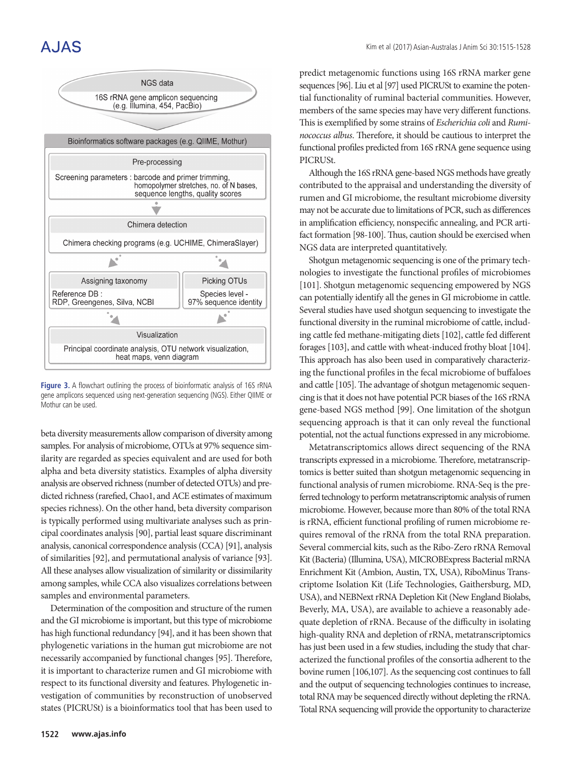# A.JAS



**Figure 3.** A flowchart outlining the process of bioinformatic analysis of 16S rRNA gene amplicons sequenced using next-generation sequencing (NGS). Either QIIME or Mothur can be used.

beta diversity measurements allow comparison of diversity among samples. For analysis of microbiome, OTUs at 97% sequence similarity are regarded as species equivalent and are used for both alpha and beta diversity statistics. Examples of alpha diversity analysis are observed richness (number of detected OTUs) and predicted richness (rarefied, Chao1, and ACE estimates of maximum species richness). On the other hand, beta diversity comparison is typically performed using multivariate analyses such as principal coordinates analysis [90], partial least square discriminant analysis, canonical correspondence analysis (CCA) [91], analysis of similarities [92], and permutational analysis of variance [93]. All these analyses allow visualization of similarity or dissimilarity among samples, while CCA also visualizes correlations between samples and environmental parameters.

Determination of the composition and structure of the rumen and the GI microbiome is important, but this type of microbiome has high functional redundancy [94], and it has been shown that phylogenetic variations in the human gut microbiome are not necessarily accompanied by functional changes [95]. Therefore, it is important to characterize rumen and GI microbiome with respect to its functional diversity and features. Phylogenetic investigation of communities by reconstruction of unobserved states (PICRUSt) is a bioinformatics tool that has been used to

predict metagenomic functions using 16S rRNA marker gene sequences [96]. Liu et al [97] used PICRUSt to examine the potential functionality of ruminal bacterial communities. However, members of the same species may have very different functions. This is exemplified by some strains of *Escherichia coli* and *Ruminococcus albus*. Therefore, it should be cautious to interpret the functional profiles predicted from 16S rRNA gene sequence using PICRUSt.

Although the 16S rRNA gene-based NGS methods have greatly contributed to the appraisal and understanding the diversity of rumen and GI microbiome, the resultant microbiome diversity may not be accurate due to limitations of PCR, such as differences in amplification efficiency, nonspecific annealing, and PCR artifact formation [98-100]. Thus, caution should be exercised when NGS data are interpreted quantitatively.

Shotgun metagenomic sequencing is one of the primary technologies to investigate the functional profiles of microbiomes [101]. Shotgun metagenomic sequencing empowered by NGS can potentially identify all the genes in GI microbiome in cattle. Several studies have used shotgun sequencing to investigate the functional diversity in the ruminal microbiome of cattle, including cattle fed methane-mitigating diets [102], cattle fed different forages [103], and cattle with wheat-induced frothy bloat [104]. This approach has also been used in comparatively characterizing the functional profiles in the fecal microbiome of buffaloes and cattle [105]. The advantage of shotgun metagenomic sequencing is that it does not have potential PCR biases of the 16S rRNA gene-based NGS method [99]. One limitation of the shotgun sequencing approach is that it can only reveal the functional potential, not the actual functions expressed in any microbiome.

Metatranscriptomics allows direct sequencing of the RNA transcripts expressed in a microbiome. Therefore, metatranscriptomics is better suited than shotgun metagenomic sequencing in functional analysis of rumen microbiome. RNA-Seq is the preferred technology to perform metatranscriptomic analysis of rumen microbiome. However, because more than 80% of the total RNA is rRNA, efficient functional profiling of rumen microbiome requires removal of the rRNA from the total RNA preparation. Several commercial kits, such as the Ribo-Zero rRNA Removal Kit (Bacteria) (Illumina, USA), MICROBExpress Bacterial mRNA Enrichment Kit (Ambion, Austin, TX, USA), RiboMinus Transcriptome Isolation Kit (Life Technologies, Gaithersburg, MD, USA), and NEBNext rRNA Depletion Kit (New England Biolabs, Beverly, MA, USA), are available to achieve a reasonably adequate depletion of rRNA. Because of the difficulty in isolating high-quality RNA and depletion of rRNA, metatranscriptomics has just been used in a few studies, including the study that characterized the functional profiles of the consortia adherent to the bovine rumen [106,107]. As the sequencing cost continues to fall and the output of sequencing technologies continues to increase, total RNA may be sequenced directly without depleting the rRNA. Total RNA sequencing will provide the opportunity to characterize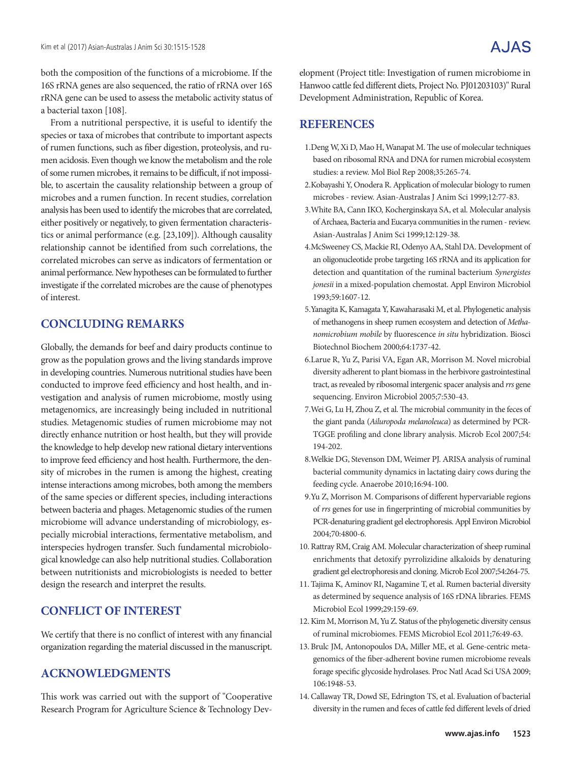both the composition of the functions of a microbiome. If the 16S rRNA genes are also sequenced, the ratio of rRNA over 16S rRNA gene can be used to assess the metabolic activity status of a bacterial taxon [108].

From a nutritional perspective, it is useful to identify the species or taxa of microbes that contribute to important aspects of rumen functions, such as fiber digestion, proteolysis, and rumen acidosis. Even though we know the metabolism and the role of some rumen microbes, it remains to be difficult, if not impossible, to ascertain the causality relationship between a group of microbes and a rumen function. In recent studies, correlation analysis has been used to identify the microbes that are correlated, either positively or negatively, to given fermentation characteristics or animal performance (e.g. [23,109]). Although causality relationship cannot be identified from such correlations, the correlated microbes can serve as indicators of fermentation or animal performance. New hypotheses can be formulated to further investigate if the correlated microbes are the cause of phenotypes of interest.

### **CONCLUDING REMARKS**

Globally, the demands for beef and dairy products continue to grow as the population grows and the living standards improve in developing countries. Numerous nutritional studies have been conducted to improve feed efficiency and host health, and investigation and analysis of rumen microbiome, mostly using metagenomics, are increasingly being included in nutritional studies. Metagenomic studies of rumen microbiome may not directly enhance nutrition or host health, but they will provide the knowledge to help develop new rational dietary interventions to improve feed efficiency and host health. Furthermore, the density of microbes in the rumen is among the highest, creating intense interactions among microbes, both among the members of the same species or different species, including interactions between bacteria and phages. Metagenomic studies of the rumen microbiome will advance understanding of microbiology, especially microbial interactions, fermentative metabolism, and interspecies hydrogen transfer. Such fundamental microbiological knowledge can also help nutritional studies. Collaboration between nutritionists and microbiologists is needed to better design the research and interpret the results.

### **CONFLICT OF INTEREST**

We certify that there is no conflict of interest with any financial organization regarding the material discussed in the manuscript.

### **ACKNOWLEDGMENTS**

This work was carried out with the support of "Cooperative Research Program for Agriculture Science & Technology Development (Project title: Investigation of rumen microbiome in Hanwoo cattle fed different diets, Project No. PJ01203103)" Rural Development Administration, Republic of Korea.

### **REFERENCES**

- 1.Deng W, Xi D, Mao H, Wanapat M. The use of molecular techniques based on ribosomal RNA and DNA for rumen microbial ecosystem studies: a review. Mol Biol Rep 2008;35:265-74.
- 2.Kobayashi Y, Onodera R. Application of molecular biology to rumen microbes - review. Asian-Australas J Anim Sci 1999;12:77-83.
- 3.White BA, Cann IKO, Kocherginskaya SA, et al. Molecular analysis of Archaea, Bacteria and Eucarya communities in the rumen - review. Asian-Australas J Anim Sci 1999;12:129-38.
- 4.McSweeney CS, Mackie RI, Odenyo AA, Stahl DA. Development of an oligonucleotide probe targeting 16S rRNA and its application for detection and quantitation of the ruminal bacterium *Synergistes jonesii* in a mixed-population chemostat. Appl Environ Microbiol 1993;59:1607-12.
- 5.Yanagita K, Kamagata Y, Kawaharasaki M, et al. Phylogenetic analysis of methanogens in sheep rumen ecosystem and detection of *Methanomicrobium mobile* by fluorescence *in situ* hybridization. Biosci Biotechnol Biochem 2000;64:1737-42.
- 6.Larue R, Yu Z, Parisi VA, Egan AR, Morrison M. Novel microbial diversity adherent to plant biomass in the herbivore gastrointestinal tract, as revealed by ribosomal intergenic spacer analysis and *rrs* gene sequencing. Environ Microbiol 2005;7:530-43.
- 7.Wei G, Lu H, Zhou Z, et al. The microbial community in the feces of the giant panda (*Ailuropoda melanoleuca*) as determined by PCR-TGGE profiling and clone library analysis. Microb Ecol 2007;54: 194-202.
- 8.Welkie DG, Stevenson DM, Weimer PJ. ARISA analysis of ruminal bacterial community dynamics in lactating dairy cows during the feeding cycle. Anaerobe 2010;16:94-100.
- 9.Yu Z, Morrison M. Comparisons of different hypervariable regions of *rrs* genes for use in fingerprinting of microbial communities by PCR-denaturing gradient gel electrophoresis. Appl Environ Microbiol 2004;70:4800-6.
- 10. Rattray RM, Craig AM. Molecular characterization of sheep ruminal enrichments that detoxify pyrrolizidine alkaloids by denaturing gradient gel electrophoresis and cloning. Microb Ecol 2007;54:264-75.
- 11. Tajima K, Aminov RI, Nagamine T, et al. Rumen bacterial diversity as determined by sequence analysis of 16S rDNA libraries. FEMS Microbiol Ecol 1999;29:159-69.
- 12.Kim M, Morrison M, Yu Z. Status of the phylogenetic diversity census of ruminal microbiomes. FEMS Microbiol Ecol 2011;76:49-63.
- 13. Brulc JM, Antonopoulos DA, Miller ME, et al. Gene-centric metagenomics of the fiber-adherent bovine rumen microbiome reveals forage specific glycoside hydrolases. Proc Natl Acad Sci USA 2009; 106:1948-53.
- 14.Callaway TR, Dowd SE, Edrington TS, et al. Evaluation of bacterial diversity in the rumen and feces of cattle fed different levels of dried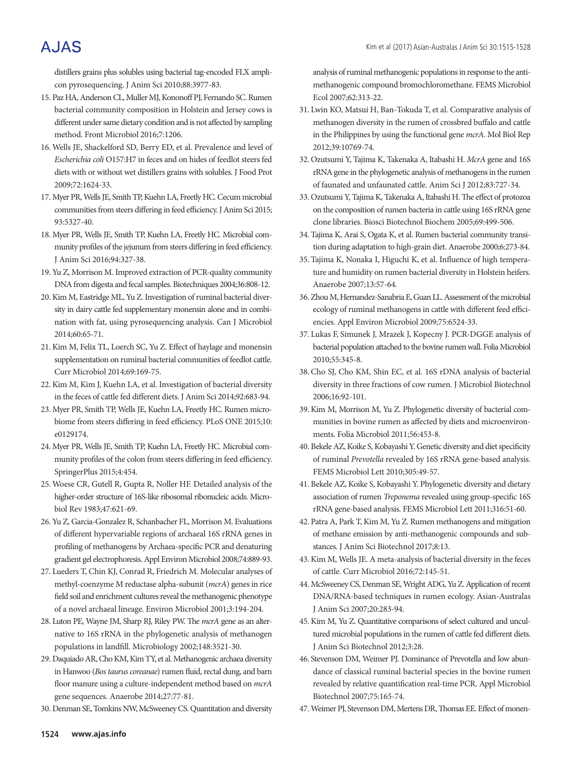distillers grains plus solubles using bacterial tag-encoded FLX amplicon pyrosequencing. J Anim Sci 2010;88:3977-83.

- 15. Paz HA, Anderson CL, Muller MJ, Kononoff PJ, Fernando SC. Rumen bacterial community composition in Holstein and Jersey cows is different under same dietary condition and is not affected by sampling method. Front Microbiol 2016;7:1206.
- 16. Wells JE, Shackelford SD, Berry ED, et al. Prevalence and level of *Escherichia coli* O157:H7 in feces and on hides of feedlot steers fed diets with or without wet distillers grains with solubles. J Food Prot 2009;72:1624-33.
- 17. Myer PR, Wells JE, Smith TP, Kuehn LA, Freetly HC. Cecum microbial communities from steers differing in feed efficiency. J Anim Sci 2015; 93:5327-40.
- 18. Myer PR, Wells JE, Smith TP, Kuehn LA, Freetly HC. Microbial community profiles of the jejunum from steers differing in feed efficiency. J Anim Sci 2016;94:327-38.
- 19. Yu Z, Morrison M. Improved extraction of PCR-quality community DNA from digesta and fecal samples. Biotechniques 2004;36:808-12.
- 20.Kim M, Eastridge ML, Yu Z. Investigation of ruminal bacterial diversity in dairy cattle fed supplementary monensin alone and in combination with fat, using pyrosequencing analysis. Can J Microbiol 2014;60:65-71.
- 21.Kim M, Felix TL, Loerch SC, Yu Z. Effect of haylage and monensin supplementation on ruminal bacterial communities of feedlot cattle. Curr Microbiol 2014;69:169-75.
- 22.Kim M, Kim J, Kuehn LA, et al. Investigation of bacterial diversity in the feces of cattle fed different diets. J Anim Sci 2014;92:683-94.
- 23. Myer PR, Smith TP, Wells JE, Kuehn LA, Freetly HC. Rumen microbiome from steers differing in feed efficiency. PLoS ONE 2015;10: e0129174.
- 24. Myer PR, Wells JE, Smith TP, Kuehn LA, Freetly HC. Microbial community profiles of the colon from steers differing in feed efficiency. SpringerPlus 2015;4:454.
- 25. Woese CR, Gutell R, Gupta R, Noller HF. Detailed analysis of the higher-order structure of 16S-like ribosomal ribonucleic acids. Microbiol Rev 1983;47:621-69.
- 26. Yu Z, Garcia-Gonzalez R, Schanbacher FL, Morrison M. Evaluations of different hypervariable regions of archaeal 16S rRNA genes in profiling of methanogens by Archaea-specific PCR and denaturing gradient gel electrophoresis. Appl Environ Microbiol 2008;74:889-93.
- 27. Lueders T, Chin KJ, Conrad R, Friedrich M. Molecular analyses of methyl-coenzyme M reductase alpha-subunit (*mcrA*) genes in rice field soil and enrichment cultures reveal the methanogenic phenotype of a novel archaeal lineage. Environ Microbiol 2001;3:194-204.
- 28. Luton PE, Wayne JM, Sharp RJ, Riley PW. The *mcrA* gene as an alternative to 16S rRNA in the phylogenetic analysis of methanogen populations in landfill. Microbiology 2002;148:3521-30.
- 29. Daquiado AR, Cho KM, Kim TY, et al. Methanogenic archaea diversity in Hanwoo (*Bos taurus coreanae*) rumen fluid, rectal dung, and barn floor manure using a culture-independent method based on *mcrA* gene sequences. Anaerobe 2014;27:77-81.
- 30. Denman SE, Tomkins NW, McSweeney CS. Quantitation and diversity

analysis of ruminal methanogenic populations in response to the antimethanogenic compound bromochloromethane. FEMS Microbiol Ecol 2007;62:313-22.

- 31. Lwin KO, Matsui H, Ban-Tokuda T, et al. Comparative analysis of methanogen diversity in the rumen of crossbred buffalo and cattle in the Philippines by using the functional gene *mcrA*. Mol Biol Rep 2012;39:10769-74.
- 32. Ozutsumi Y, Tajima K, Takenaka A, Itabashi H. *McrA* gene and 16S rRNA gene in the phylogenetic analysis of methanogens in the rumen of faunated and unfaunated cattle. Anim Sci J 2012;83:727-34.
- 33. Ozutsumi Y, Tajima K, Takenaka A, Itabashi H. The effect of protozoa on the composition of rumen bacteria in cattle using 16S rRNA gene clone libraries. Biosci Biotechnol Biochem 2005;69:499-506.
- 34. Tajima K, Arai S, Ogata K, et al. Rumen bacterial community transition during adaptation to high-grain diet. Anaerobe 2000;6:273-84.
- 35. Tajima K, Nonaka I, Higuchi K, et al. Influence of high temperature and humidity on rumen bacterial diversity in Holstein heifers. Anaerobe 2007;13:57-64.
- 36. Zhou M, Hernandez-Sanabria E, Guan LL. Assessment of the microbial ecology of ruminal methanogens in cattle with different feed efficiencies. Appl Environ Microbiol 2009;75:6524-33.
- 37. Lukas F, Simunek J, Mrazek J, Kopecny J. PCR-DGGE analysis of bacterial population attached to the bovine rumen wall. Folia Microbiol 2010;55:345-8.
- 38.Cho SJ, Cho KM, Shin EC, et al. 16S rDNA analysis of bacterial diversity in three fractions of cow rumen. J Microbiol Biotechnol 2006;16:92-101.
- 39.Kim M, Morrison M, Yu Z. Phylogenetic diversity of bacterial communities in bovine rumen as affected by diets and microenvironments. Folia Microbiol 2011;56:453-8.
- 40. Bekele AZ, Koike S, Kobayashi Y. Genetic diversity and diet specificity of ruminal *Prevotella* revealed by 16S rRNA gene-based analysis. FEMS Microbiol Lett 2010;305:49-57.
- 41. Bekele AZ, Koike S, Kobayashi Y. Phylogenetic diversity and dietary association of rumen *Treponema* revealed using group-specific 16S rRNA gene-based analysis. FEMS Microbiol Lett 2011;316:51-60.
- 42. Patra A, Park T, Kim M, Yu Z. Rumen methanogens and mitigation of methane emission by anti-methanogenic compounds and substances. J Anim Sci Biotechnol 2017;8:13.
- 43.Kim M, Wells JE. A meta-analysis of bacterial diversity in the feces of cattle. Curr Microbiol 2016;72:145-51.
- 44. McSweeney CS, Denman SE, Wright ADG, Yu Z. Application of recent DNA/RNA-based techniques in rumen ecology. Asian-Australas J Anim Sci 2007;20:283-94.
- 45.Kim M, Yu Z. Quantitative comparisons of select cultured and uncultured microbial populations in the rumen of cattle fed different diets. J Anim Sci Biotechnol 2012;3:28.
- 46. Stevenson DM, Weimer PJ. Dominance of Prevotella and low abundance of classical ruminal bacterial species in the bovine rumen revealed by relative quantification real-time PCR. Appl Microbiol Biotechnol 2007;75:165-74.
- 47. Weimer PJ, Stevenson DM, Mertens DR, Thomas EE. Effect of monen-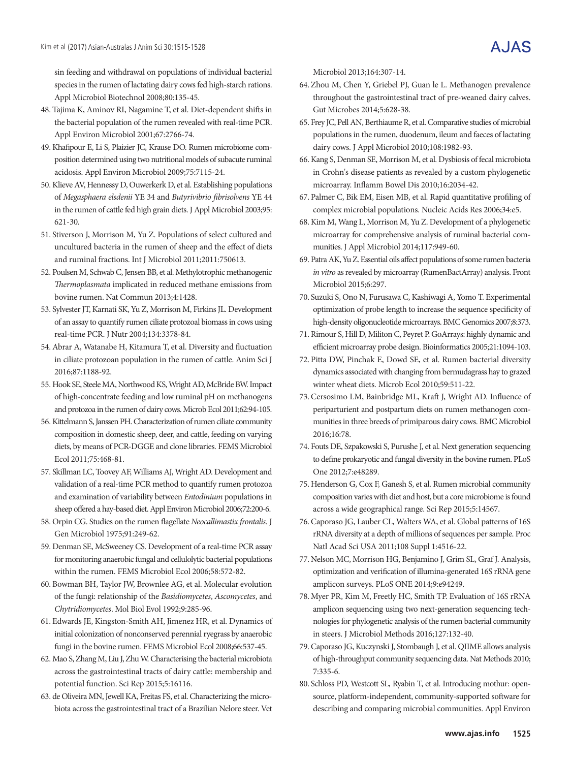sin feeding and withdrawal on populations of individual bacterial species in the rumen of lactating dairy cows fed high-starch rations. Appl Microbiol Biotechnol 2008;80:135-45.

- 48. Tajima K, Aminov RI, Nagamine T, et al. Diet-dependent shifts in the bacterial population of the rumen revealed with real-time PCR. Appl Environ Microbiol 2001;67:2766-74.
- 49.Khafipour E, Li S, Plaizier JC, Krause DO. Rumen microbiome composition determined using two nutritional models of subacute ruminal acidosis. Appl Environ Microbiol 2009;75:7115-24.
- 50.Klieve AV, Hennessy D, Ouwerkerk D, et al. Establishing populations of *Megasphaera elsdenii* YE 34 and *Butyrivibrio fibrisolvens* YE 44 in the rumen of cattle fed high grain diets. J Appl Microbiol 2003;95: 621-30.
- 51. Stiverson J, Morrison M, Yu Z. Populations of select cultured and uncultured bacteria in the rumen of sheep and the effect of diets and ruminal fractions. Int J Microbiol 2011;2011:750613.
- 52. Poulsen M, Schwab C, Jensen BB, et al. Methylotrophic methanogenic *Thermoplasmata* implicated in reduced methane emissions from bovine rumen. Nat Commun 2013;4:1428.
- 53. Sylvester JT, Karnati SK, Yu Z, Morrison M, Firkins JL. Development of an assay to quantify rumen ciliate protozoal biomass in cows using real-time PCR. J Nutr 2004;134:3378-84.
- 54.Abrar A, Watanabe H, Kitamura T, et al. Diversity and fluctuation in ciliate protozoan population in the rumen of cattle. Anim Sci J 2016;87:1188-92.
- 55. Hook SE, Steele MA, Northwood KS, Wright AD, McBride BW. Impact of high-concentrate feeding and low ruminal pH on methanogens and protozoa in the rumen of dairy cows. Microb Ecol 2011;62:94-105.
- 56.Kittelmann S, Janssen PH. Characterization of rumen ciliate community composition in domestic sheep, deer, and cattle, feeding on varying diets, by means of PCR-DGGE and clone libraries. FEMS Microbiol Ecol 2011;75:468-81.
- 57. Skillman LC, Toovey AF, Williams AJ, Wright AD. Development and validation of a real-time PCR method to quantify rumen protozoa and examination of variability between *Entodinium* populations in sheep offered a hay-based diet. Appl Environ Microbiol 2006;72:200-6.
- 58. Orpin CG. Studies on the rumen flagellate *Neocallimastix frontalis*. J Gen Microbiol 1975;91:249-62.
- 59. Denman SE, McSweeney CS. Development of a real-time PCR assay for monitoring anaerobic fungal and cellulolytic bacterial populations within the rumen. FEMS Microbiol Ecol 2006;58:572-82.
- 60. Bowman BH, Taylor JW, Brownlee AG, et al. Molecular evolution of the fungi: relationship of the *Basidiomycetes*, *Ascomycetes*, and *Chytridiomycetes*. Mol Biol Evol 1992;9:285-96.
- 61. Edwards JE, Kingston-Smith AH, Jimenez HR, et al. Dynamics of initial colonization of nonconserved perennial ryegrass by anaerobic fungi in the bovine rumen. FEMS Microbiol Ecol 2008;66:537-45.
- 62. Mao S, Zhang M, Liu J, Zhu W. Characterising the bacterial microbiota across the gastrointestinal tracts of dairy cattle: membership and potential function. Sci Rep 2015;5:16116.
- 63. de Oliveira MN, Jewell KA, Freitas FS, et al. Characterizing the microbiota across the gastrointestinal tract of a Brazilian Nelore steer. Vet

Microbiol 2013;164:307-14.

- 64. Zhou M, Chen Y, Griebel PJ, Guan le L. Methanogen prevalence throughout the gastrointestinal tract of pre-weaned dairy calves. Gut Microbes 2014;5:628-38.
- 65. Frey JC, Pell AN, Berthiaume R, et al. Comparative studies of microbial populations in the rumen, duodenum, ileum and faeces of lactating dairy cows. J Appl Microbiol 2010;108:1982-93.
- 66.Kang S, Denman SE, Morrison M, et al. Dysbiosis of fecal microbiota in Crohn's disease patients as revealed by a custom phylogenetic microarray. Inflamm Bowel Dis 2010;16:2034-42.
- 67. Palmer C, Bik EM, Eisen MB, et al. Rapid quantitative profiling of complex microbial populations. Nucleic Acids Res 2006;34:e5.
- 68.Kim M, Wang L, Morrison M, Yu Z. Development of a phylogenetic microarray for comprehensive analysis of ruminal bacterial communities. J Appl Microbiol 2014;117:949-60.
- 69. Patra AK, Yu Z. Essential oils affect populations of some rumen bacteria *in vitro* as revealed by microarray (RumenBactArray) analysis. Front Microbiol 2015;6:297.
- 70. Suzuki S, Ono N, Furusawa C, Kashiwagi A, Yomo T. Experimental optimization of probe length to increase the sequence specificity of high-density oligonucleotide microarrays. BMC Genomics 2007;8:373.
- 71. Rimour S, Hill D, Militon C, Peyret P. GoArrays: highly dynamic and efficient microarray probe design. Bioinformatics 2005;21:1094-103.
- 72. Pitta DW, Pinchak E, Dowd SE, et al. Rumen bacterial diversity dynamics associated with changing from bermudagrass hay to grazed winter wheat diets. Microb Ecol 2010;59:511-22.
- 73.Cersosimo LM, Bainbridge ML, Kraft J, Wright AD. Influence of periparturient and postpartum diets on rumen methanogen communities in three breeds of primiparous dairy cows. BMC Microbiol 2016;16:78.
- 74. Fouts DE, Szpakowski S, Purushe J, et al. Next generation sequencing to define prokaryotic and fungal diversity in the bovine rumen. PLoS One 2012;7:e48289.
- 75. Henderson G, Cox F, Ganesh S, et al. Rumen microbial community composition varies with diet and host, but a core microbiome is found across a wide geographical range. Sci Rep 2015;5:14567.
- 76.Caporaso JG, Lauber CL, Walters WA, et al. Global patterns of 16S rRNA diversity at a depth of millions of sequences per sample. Proc Natl Acad Sci USA 2011;108 Suppl 1:4516-22.
- 77. Nelson MC, Morrison HG, Benjamino J, Grim SL, Graf J. Analysis, optimization and verification of illumina-generated 16S rRNA gene amplicon surveys. PLoS ONE 2014;9:e94249.
- 78. Myer PR, Kim M, Freetly HC, Smith TP. Evaluation of 16S rRNA amplicon sequencing using two next-generation sequencing technologies for phylogenetic analysis of the rumen bacterial community in steers. J Microbiol Methods 2016;127:132-40.
- 79.Caporaso JG, Kuczynski J, Stombaugh J, et al. QIIME allows analysis of high-throughput community sequencing data. Nat Methods 2010; 7:335-6.
- 80. Schloss PD, Westcott SL, Ryabin T, et al. Introducing mothur: opensource, platform-independent, community-supported software for describing and comparing microbial communities. Appl Environ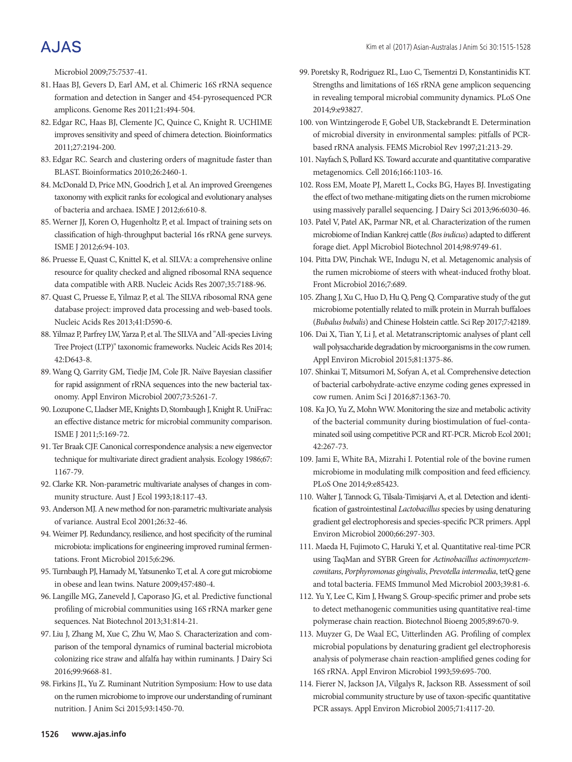Microbiol 2009;75:7537-41.

- 81. Haas BJ, Gevers D, Earl AM, et al. Chimeric 16S rRNA sequence formation and detection in Sanger and 454-pyrosequenced PCR amplicons. Genome Res 2011;21:494-504.
- 82. Edgar RC, Haas BJ, Clemente JC, Quince C, Knight R. UCHIME improves sensitivity and speed of chimera detection. Bioinformatics 2011;27:2194-200.
- 83. Edgar RC. Search and clustering orders of magnitude faster than BLAST. Bioinformatics 2010;26:2460-1.
- 84. McDonald D, Price MN, Goodrich J, et al. An improved Greengenes taxonomy with explicit ranks for ecological and evolutionary analyses of bacteria and archaea. ISME J 2012;6:610-8.
- 85. Werner JJ, Koren O, Hugenholtz P, et al. Impact of training sets on classification of high-throughput bacterial 16s rRNA gene surveys. ISME J 2012;6:94-103.
- 86. Pruesse E, Quast C, Knittel K, et al. SILVA: a comprehensive online resource for quality checked and aligned ribosomal RNA sequence data compatible with ARB. Nucleic Acids Res 2007;35:7188-96.
- 87. Quast C, Pruesse E, Yilmaz P, et al. The SILVA ribosomal RNA gene database project: improved data processing and web-based tools. Nucleic Acids Res 2013;41:D590-6.
- 88. Yilmaz P, Parfrey LW, Yarza P, et al. The SILVA and "All-species Living Tree Project (LTP)" taxonomic frameworks. Nucleic Acids Res 2014; 42:D643-8.
- 89. Wang Q, Garrity GM, Tiedje JM, Cole JR. Naïve Bayesian classifier for rapid assignment of rRNA sequences into the new bacterial taxonomy. Appl Environ Microbiol 2007;73:5261-7.
- 90. Lozupone C, Lladser ME, Knights D, Stombaugh J, Knight R. UniFrac: an effective distance metric for microbial community comparison. ISME J 2011;5:169-72.
- 91. Ter Braak CJF. Canonical correspondence analysis: a new eigenvector technique for multivariate direct gradient analysis. Ecology 1986;67: 1167-79.
- 92.Clarke KR. Non-parametric multivariate analyses of changes in community structure. Aust J Ecol 1993;18:117-43.
- 93.Anderson MJ. A new method for non-parametric multivariate analysis of variance. Austral Ecol 2001;26:32-46.
- 94. Weimer PJ. Redundancy, resilience, and host specificity of the ruminal microbiota: implications for engineering improved ruminal fermentations. Front Microbiol 2015;6:296.
- 95. Turnbaugh PJ, Hamady M, Yatsunenko T, et al. A core gut microbiome in obese and lean twins. Nature 2009;457:480-4.
- 96. Langille MG, Zaneveld J, Caporaso JG, et al. Predictive functional profiling of microbial communities using 16S rRNA marker gene sequences. Nat Biotechnol 2013;31:814-21.
- 97. Liu J, Zhang M, Xue C, Zhu W, Mao S. Characterization and comparison of the temporal dynamics of ruminal bacterial microbiota colonizing rice straw and alfalfa hay within ruminants. J Dairy Sci 2016;99:9668-81.
- 98. Firkins JL, Yu Z. Ruminant Nutrition Symposium: How to use data on the rumen microbiome to improve our understanding of ruminant nutrition. J Anim Sci 2015;93:1450-70.
- 99. Poretsky R, Rodriguez RL, Luo C, Tsementzi D, Konstantinidis KT. Strengths and limitations of 16S rRNA gene amplicon sequencing in revealing temporal microbial community dynamics. PLoS One 2014;9:e93827.
- 100. von Wintzingerode F, Gobel UB, Stackebrandt E. Determination of microbial diversity in environmental samples: pitfalls of PCRbased rRNA analysis. FEMS Microbiol Rev 1997;21:213-29.
- 101. Nayfach S, Pollard KS. Toward accurate and quantitative comparative metagenomics. Cell 2016;166:1103-16.
- 102. Ross EM, Moate PJ, Marett L, Cocks BG, Hayes BJ. Investigating the effect of two methane-mitigating diets on the rumen microbiome using massively parallel sequencing. J Dairy Sci 2013;96:6030-46.
- 103. Patel V, Patel AK, Parmar NR, et al. Characterization of the rumen microbiome of Indian Kankrej cattle (*Bos indicus*) adapted to different forage diet. Appl Microbiol Biotechnol 2014;98:9749-61.
- 104. Pitta DW, Pinchak WE, Indugu N, et al. Metagenomic analysis of the rumen microbiome of steers with wheat-induced frothy bloat. Front Microbiol 2016;7:689.
- 105. Zhang J, Xu C, Huo D, Hu Q, Peng Q. Comparative study of the gut microbiome potentially related to milk protein in Murrah buffaloes (*Bubalus bubalis*) and Chinese Holstein cattle. Sci Rep 2017;7:42189.
- 106. Dai X, Tian Y, Li J, et al. Metatranscriptomic analyses of plant cell wall polysaccharide degradation by microorganisms in the cow rumen. Appl Environ Microbiol 2015;81:1375-86.
- 107. Shinkai T, Mitsumori M, Sofyan A, et al. Comprehensive detection of bacterial carbohydrate-active enzyme coding genes expressed in cow rumen. Anim Sci J 2016;87:1363-70.
- 108. Ka JO, Yu Z, Mohn WW. Monitoring the size and metabolic activity of the bacterial community during biostimulation of fuel-contaminated soil using competitive PCR and RT-PCR. Microb Ecol 2001; 42:267-73.
- 109. Jami E, White BA, Mizrahi I. Potential role of the bovine rumen microbiome in modulating milk composition and feed efficiency. PLoS One 2014;9:e85423.
- 110. Walter J, Tannock G, Tilsala-Timisjarvi A, et al. Detection and identification of gastrointestinal *Lactobacillus* species by using denaturing gradient gel electrophoresis and species-specific PCR primers. Appl Environ Microbiol 2000;66:297-303.
- 111. Maeda H, Fujimoto C, Haruki Y, et al. Quantitative real-time PCR using TaqMan and SYBR Green for *Actinobacillus actinomycetemcomitans*, *Porphyromonas gingivalis*, *Prevotella intermedia*, tetQ gene and total bacteria. FEMS Immunol Med Microbiol 2003;39:81-6.
- 112. Yu Y, Lee C, Kim J, Hwang S. Group‐specific primer and probe sets to detect methanogenic communities using quantitative real‐time polymerase chain reaction. Biotechnol Bioeng 2005;89:670-9.
- 113. Muyzer G, De Waal EC, Uitterlinden AG. Profiling of complex microbial populations by denaturing gradient gel electrophoresis analysis of polymerase chain reaction-amplified genes coding for 16S rRNA. Appl Environ Microbiol 1993;59:695-700.
- 114. Fierer N, Jackson JA, Vilgalys R, Jackson RB. Assessment of soil microbial community structure by use of taxon-specific quantitative PCR assays. Appl Environ Microbiol 2005;71:4117-20.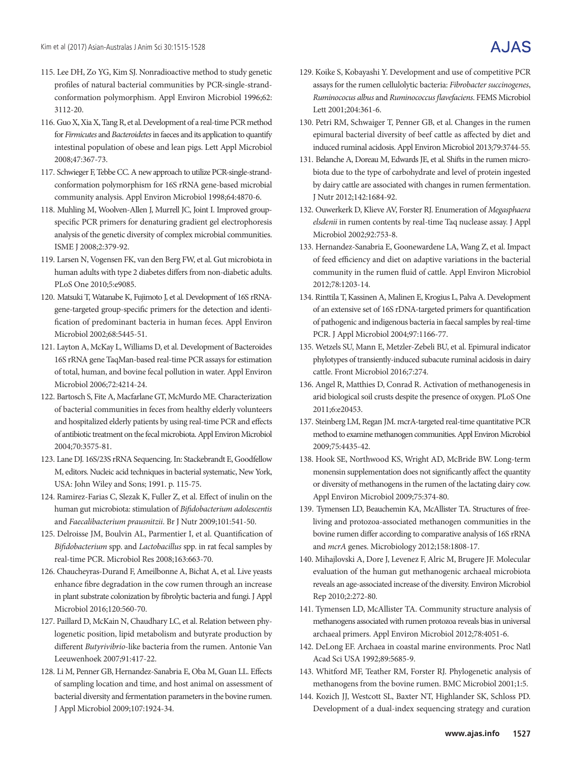- 115. Lee DH, Zo YG, Kim SJ. Nonradioactive method to study genetic profiles of natural bacterial communities by PCR-single-strandconformation polymorphism. Appl Environ Microbiol 1996;62: 3112-20.
- 116. Guo X, Xia X, Tang R, et al. Development of a real-time PCR method for *Firmicutes* and *Bacteroidetes* in faeces and its application to quantify intestinal population of obese and lean pigs. Lett Appl Microbiol 2008;47:367-73.
- 117. Schwieger F, Tebbe CC. A new approach to utilize PCR-single-strandconformation polymorphism for 16S rRNA gene-based microbial community analysis. Appl Environ Microbiol 1998;64:4870-6.
- 118. Muhling M, Woolven-Allen J, Murrell JC, Joint I. Improved groupspecific PCR primers for denaturing gradient gel electrophoresis analysis of the genetic diversity of complex microbial communities. ISME J 2008;2:379-92.
- 119. Larsen N, Vogensen FK, van den Berg FW, et al. Gut microbiota in human adults with type 2 diabetes differs from non-diabetic adults. PLoS One 2010;5:e9085.
- 120. Matsuki T, Watanabe K, Fujimoto J, et al. Development of 16S rRNAgene-targeted group-specific primers for the detection and identification of predominant bacteria in human feces. Appl Environ Microbiol 2002;68:5445-51.
- 121. Layton A, McKay L, Williams D, et al. Development of Bacteroides 16S rRNA gene TaqMan-based real-time PCR assays for estimation of total, human, and bovine fecal pollution in water. Appl Environ Microbiol 2006;72:4214-24.
- 122. Bartosch S, Fite A, Macfarlane GT, McMurdo ME. Characterization of bacterial communities in feces from healthy elderly volunteers and hospitalized elderly patients by using real-time PCR and effects of antibiotic treatment on the fecal microbiota. Appl Environ Microbiol 2004;70:3575-81.
- 123. Lane DJ. 16S/23S rRNA Sequencing. In: Stackebrandt E, Goodfellow M, editors. Nucleic acid techniques in bacterial systematic, New York, USA: John Wiley and Sons; 1991. p. 115-75.
- 124. Ramirez-Farias C, Slezak K, Fuller Z, et al. Effect of inulin on the human gut microbiota: stimulation of *Bifidobacterium adolescentis* and *Faecalibacterium prausnitzii*. Br J Nutr 2009;101:541-50.
- 125. Delroisse JM, Boulvin AL, Parmentier I, et al. Quantification of *Bifidobacterium* spp. and *Lactobacillus* spp. in rat fecal samples by real-time PCR. Microbiol Res 2008;163:663-70.
- 126. Chaucheyras-Durand F, Ameilbonne A, Bichat A, et al. Live yeasts enhance fibre degradation in the cow rumen through an increase in plant substrate colonization by fibrolytic bacteria and fungi. J Appl Microbiol 2016;120:560-70.
- 127. Paillard D, McKain N, Chaudhary LC, et al. Relation between phylogenetic position, lipid metabolism and butyrate production by different *Butyrivibrio*-like bacteria from the rumen. Antonie Van Leeuwenhoek 2007;91:417-22.
- 128. Li M, Penner GB, Hernandez-Sanabria E, Oba M, Guan LL. Effects of sampling location and time, and host animal on assessment of bacterial diversity and fermentation parameters in the bovine rumen. J Appl Microbiol 2009;107:1924-34.
- 129. Koike S, Kobayashi Y. Development and use of competitive PCR assays for the rumen cellulolytic bacteria: *Fibrobacter succinogenes*, *Ruminococus albus* and *Ruminococcus flavefaciens*. FEMS Microbiol Lett 2001;204:361-6.
- 130. Petri RM, Schwaiger T, Penner GB, et al. Changes in the rumen epimural bacterial diversity of beef cattle as affected by diet and induced ruminal acidosis. Appl Environ Microbiol 2013;79:3744-55.
- 131. Belanche A, Doreau M, Edwards JE, et al. Shifts in the rumen microbiota due to the type of carbohydrate and level of protein ingested by dairy cattle are associated with changes in rumen fermentation. J Nutr 2012;142:1684-92.
- 132. Ouwerkerk D, Klieve AV, Forster RJ. Enumeration of *Megasphaera elsdenii* in rumen contents by real-time Taq nuclease assay. J Appl Microbiol 2002;92:753-8.
- 133. Hernandez-Sanabria E, Goonewardene LA, Wang Z, et al. Impact of feed efficiency and diet on adaptive variations in the bacterial community in the rumen fluid of cattle. Appl Environ Microbiol 2012;78:1203-14.
- 134. Rinttila T, Kassinen A, Malinen E, Krogius L, Palva A. Development of an extensive set of 16S rDNA-targeted primers for quantification of pathogenic and indigenous bacteria in faecal samples by real-time PCR. J Appl Microbiol 2004;97:1166-77.
- 135. Wetzels SU, Mann E, Metzler-Zebeli BU, et al. Epimural indicator phylotypes of transiently-induced subacute ruminal acidosis in dairy cattle. Front Microbiol 2016;7:274.
- 136. Angel R, Matthies D, Conrad R. Activation of methanogenesis in arid biological soil crusts despite the presence of oxygen. PLoS One 2011;6:e20453.
- 137. Steinberg LM, Regan JM. mcrA-targeted real-time quantitative PCR method to examine methanogen communities. Appl Environ Microbiol 2009;75:4435-42.
- 138. Hook SE, Northwood KS, Wright AD, McBride BW. Long-term monensin supplementation does not significantly affect the quantity or diversity of methanogens in the rumen of the lactating dairy cow. Appl Environ Microbiol 2009;75:374-80.
- 139. Tymensen LD, Beauchemin KA, McAllister TA. Structures of freeliving and protozoa-associated methanogen communities in the bovine rumen differ according to comparative analysis of 16S rRNA and *mcrA* genes. Microbiology 2012;158:1808-17.
- 140. Mihajlovski A, Dore J, Levenez F, Alric M, Brugere JF. Molecular evaluation of the human gut methanogenic archaeal microbiota reveals an age-associated increase of the diversity. Environ Microbiol Rep 2010;2:272-80.
- 141. Tymensen LD, McAllister TA. Community structure analysis of methanogens associated with rumen protozoa reveals bias in universal archaeal primers. Appl Environ Microbiol 2012;78:4051-6.
- 142. DeLong EF. Archaea in coastal marine environments. Proc Natl Acad Sci USA 1992;89:5685-9.
- 143. Whitford MF, Teather RM, Forster RJ. Phylogenetic analysis of methanogens from the bovine rumen. BMC Microbiol 2001;1:5.
- 144. Kozich JJ, Westcott SL, Baxter NT, Highlander SK, Schloss PD. Development of a dual-index sequencing strategy and curation